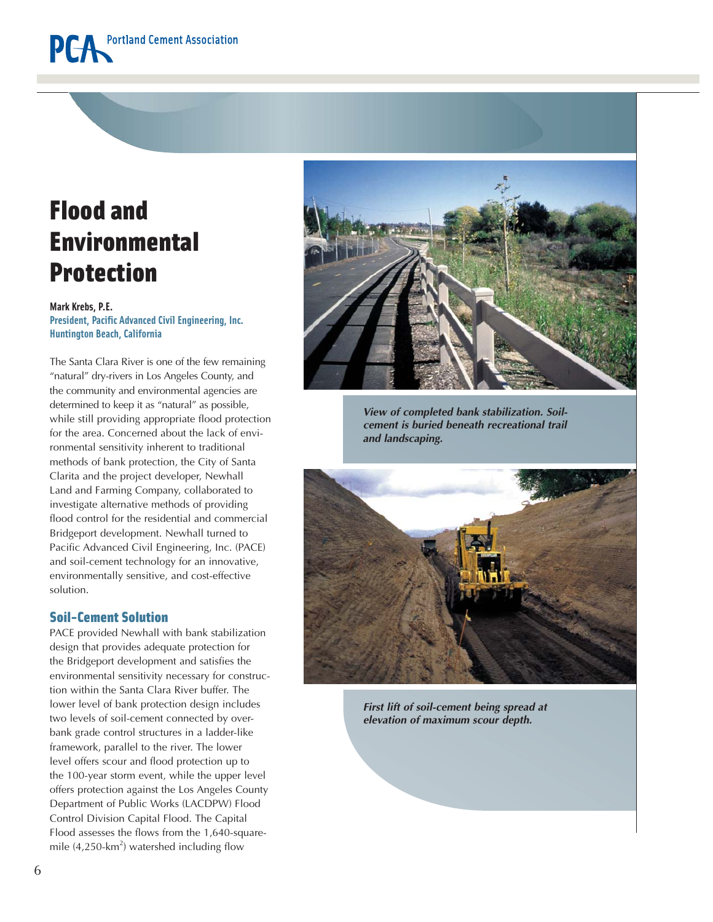## Flood and Environmental Protection

### **Mark Krebs, P.E. President, Pacific Advanced Civil Engineering, Inc. Huntington Beach, California**

The Santa Clara River is one of the few remaining "natural" dry-rivers in Los Angeles County, and the community and environmental agencies are determined to keep it as "natural" as possible, while still providing appropriate flood protection for the area. Concerned about the lack of environmental sensitivity inherent to traditional methods of bank protection, the City of Santa Clarita and the project developer, Newhall Land and Farming Company, collaborated to investigate alternative methods of providing flood control for the residential and commercial Bridgeport development. Newhall turned to Pacific Advanced Civil Engineering, Inc. (PACE) and soil-cement technology for an innovative, environmentally sensitive, and cost-effective solution.

### Soil-Cement Solution

PACE provided Newhall with bank stabilization design that provides adequate protection for the Bridgeport development and satisfies the environmental sensitivity necessary for construction within the Santa Clara River buffer. The lower level of bank protection design includes two levels of soil-cement connected by overbank grade control structures in a ladder-like framework, parallel to the river. The lower level offers scour and flood protection up to the 100-year storm event, while the upper level offers protection against the Los Angeles County Department of Public Works (LACDPW) Flood Control Division Capital Flood. The Capital Flood assesses the flows from the 1,640-squaremile  $(4,250$ -km<sup>2</sup>) watershed including flow



*View of completed bank stabilization. Soilcement is buried beneath recreational trail and landscaping.*



*First lift of soil-cement being spread at elevation of maximum scour depth.*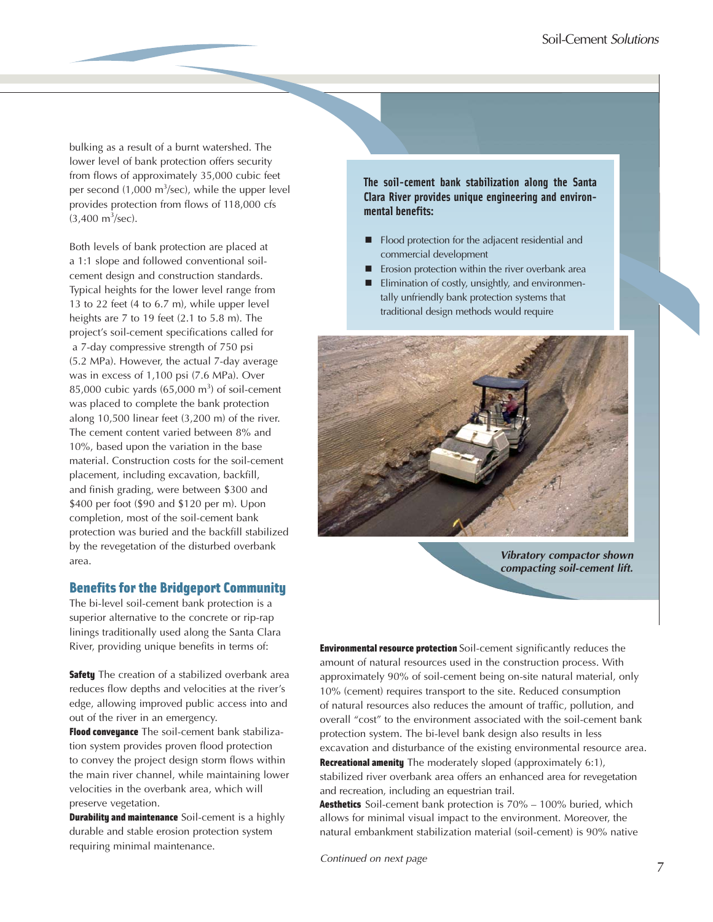bulking as a result of a burnt watershed. The lower level of bank protection offers security from flows of approximately 35,000 cubic feet per second (1,000 m<sup>3</sup>/sec), while the upper level provides protection from flows of 118,000 cfs  $(3,400 \text{ m}^3/\text{sec})$ .

Both levels of bank protection are placed at a 1:1 slope and followed conventional soilcement design and construction standards. Typical heights for the lower level range from 13 to 22 feet (4 to 6.7 m), while upper level heights are 7 to 19 feet (2.1 to 5.8 m). The project's soil-cement specifications called for a 7-day compressive strength of 750 psi (5.2 MPa). However, the actual 7-day average was in excess of 1,100 psi (7.6 MPa). Over 85,000 cubic yards  $(65,000 \text{ m}^3)$  of soil-cement was placed to complete the bank protection along 10,500 linear feet (3,200 m) of the river. The cement content varied between 8% and 10%, based upon the variation in the base material. Construction costs for the soil-cement placement, including excavation, backfill, and finish grading, were between \$300 and \$400 per foot (\$90 and \$120 per m). Upon completion, most of the soil-cement bank protection was buried and the backfill stabilized by the revegetation of the disturbed overbank area.

### Benefits for the Bridgeport Community

The bi-level soil-cement bank protection is a superior alternative to the concrete or rip-rap linings traditionally used along the Santa Clara River, providing unique benefits in terms of:

**Safety** The creation of a stabilized overbank area reduces flow depths and velocities at the river's edge, allowing improved public access into and out of the river in an emergency.

Flood conveyance The soil-cement bank stabilization system provides proven flood protection to convey the project design storm flows within the main river channel, while maintaining lower velocities in the overbank area, which will preserve vegetation.

**Durability and maintenance** Soil-cement is a highly durable and stable erosion protection system requiring minimal maintenance.

**The soil-cement bank stabilization along the Santa Clara River provides unique engineering and environmental benefits:**

- Flood protection for the adjacent residential and commercial development
- **Exercise** Erosion protection within the river overbank area
- **Elimination of costly, unsightly, and environmen**tally unfriendly bank protection systems that traditional design methods would require



*Vibratory compactor shown compacting soil-cement lift.*

Environmental resource protection Soil-cement significantly reduces the amount of natural resources used in the construction process. With approximately 90% of soil-cement being on-site natural material, only 10% (cement) requires transport to the site. Reduced consumption of natural resources also reduces the amount of traffic, pollution, and overall "cost" to the environment associated with the soil-cement bank protection system. The bi-level bank design also results in less excavation and disturbance of the existing environmental resource area. Recreational amenity The moderately sloped (approximately 6:1), stabilized river overbank area offers an enhanced area for revegetation and recreation, including an equestrian trail.

Aesthetics Soil-cement bank protection is 70% – 100% buried, which allows for minimal visual impact to the environment. Moreover, the natural embankment stabilization material (soil-cement) is 90% native

*Continued on next page* <sup>7</sup>